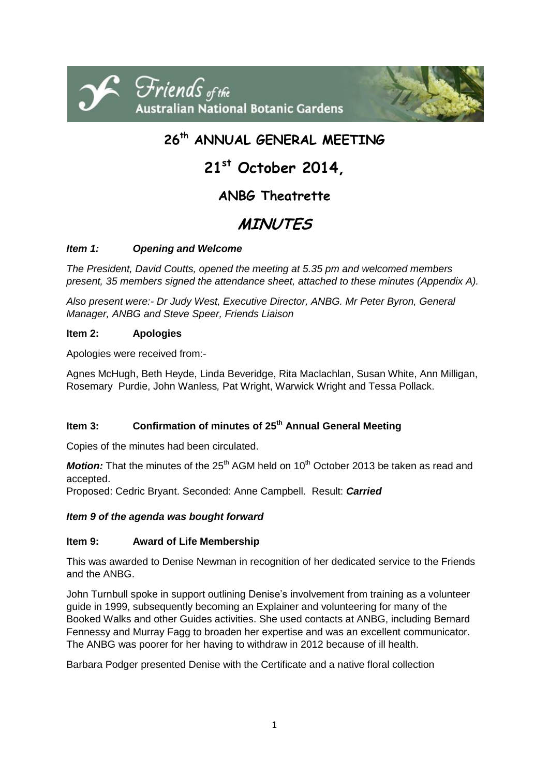

## **26 th ANNUAL GENERAL MEETING**

# **21st October 2014,**

### **ANBG Theatrette**

## **MINUTES**

#### *Item 1: Opening and Welcome*

*The President, David Coutts, opened the meeting at 5.35 pm and welcomed members present, 35 members signed the attendance sheet, attached to these minutes (Appendix A).* 

*Also present were:- Dr Judy West, Executive Director, ANBG. Mr Peter Byron, General Manager, ANBG and Steve Speer, Friends Liaison*

#### **Item 2: Apologies**

Apologies were received from:-

Agnes McHugh, Beth Heyde, Linda Beveridge, Rita Maclachlan, Susan White, Ann Milligan, Rosemary Purdie, John Wanless*,* Pat Wright, Warwick Wright and Tessa Pollack.

#### **Item 3: Confirmation of minutes of 25 th Annual General Meeting**

Copies of the minutes had been circulated.

*Motion:* That the minutes of the 25<sup>th</sup> AGM held on 10<sup>th</sup> October 2013 be taken as read and accepted.

Proposed: Cedric Bryant. Seconded: Anne Campbell. Result: *Carried*

#### *Item 9 of the agenda was bought forward*

#### **Item 9: Award of Life Membership**

This was awarded to Denise Newman in recognition of her dedicated service to the Friends and the ANBG.

John Turnbull spoke in support outlining Denise's involvement from training as a volunteer guide in 1999, subsequently becoming an Explainer and volunteering for many of the Booked Walks and other Guides activities. She used contacts at ANBG, including Bernard Fennessy and Murray Fagg to broaden her expertise and was an excellent communicator. The ANBG was poorer for her having to withdraw in 2012 because of ill health.

Barbara Podger presented Denise with the Certificate and a native floral collection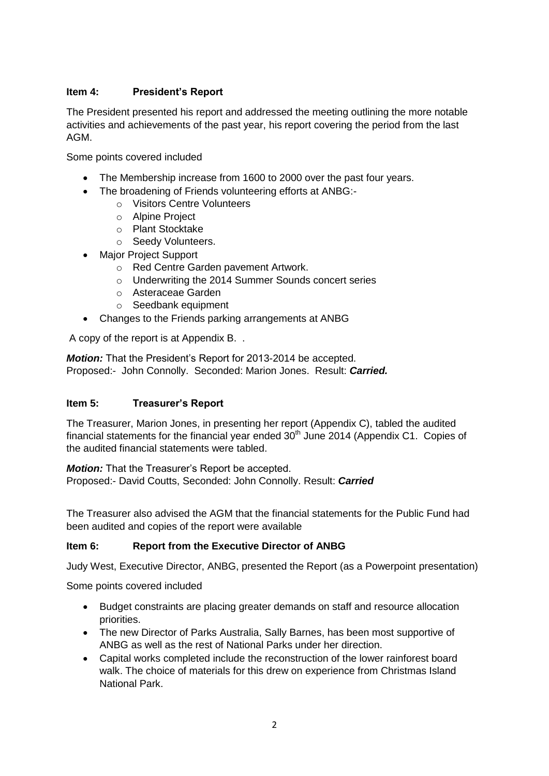#### **Item 4: President's Report**

The President presented his report and addressed the meeting outlining the more notable activities and achievements of the past year, his report covering the period from the last AGM.

Some points covered included

- The Membership increase from 1600 to 2000 over the past four years.
- The broadening of Friends volunteering efforts at ANBG:
	- o Visitors Centre Volunteers
	- o Alpine Project
	- o Plant Stocktake
	- o Seedy Volunteers.
- Major Project Support
	- o Red Centre Garden pavement Artwork.
	- o Underwriting the 2014 Summer Sounds concert series
	- o Asteraceae Garden
	- o Seedbank equipment
- Changes to the Friends parking arrangements at ANBG

A copy of the report is at Appendix B. .

*Motion:* That the President's Report for 2013-2014 be accepted. Proposed:- John Connolly. Seconded: Marion Jones. Result: *Carried.*

#### **Item 5: Treasurer's Report**

The Treasurer, Marion Jones, in presenting her report (Appendix C), tabled the audited financial statements for the financial year ended  $30<sup>th</sup>$  June 2014 (Appendix C1. Copies of the audited financial statements were tabled.

*Motion:* That the Treasurer's Report be accepted. Proposed:- David Coutts, Seconded: John Connolly. Result: *Carried*

The Treasurer also advised the AGM that the financial statements for the Public Fund had been audited and copies of the report were available

#### **Item 6: Report from the Executive Director of ANBG**

Judy West, Executive Director, ANBG, presented the Report (as a Powerpoint presentation)

Some points covered included

- Budget constraints are placing greater demands on staff and resource allocation priorities.
- The new Director of Parks Australia, Sally Barnes, has been most supportive of ANBG as well as the rest of National Parks under her direction.
- Capital works completed include the reconstruction of the lower rainforest board walk. The choice of materials for this drew on experience from Christmas Island National Park.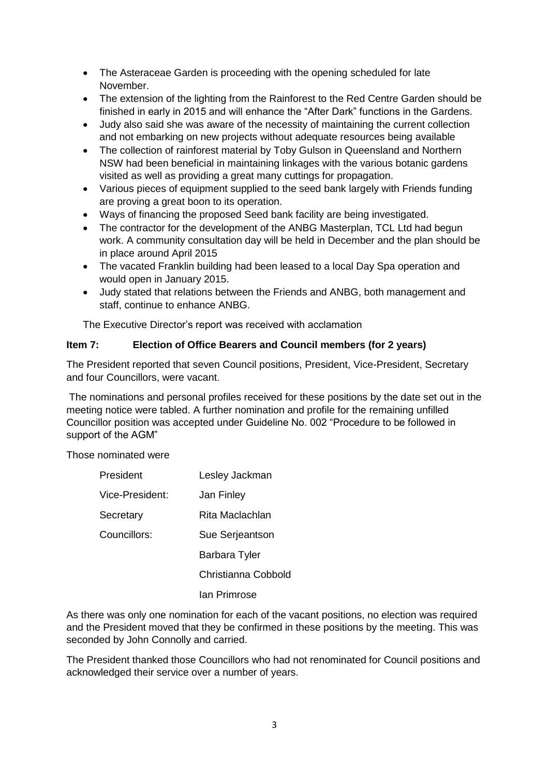- The Asteraceae Garden is proceeding with the opening scheduled for late November.
- The extension of the lighting from the Rainforest to the Red Centre Garden should be finished in early in 2015 and will enhance the "After Dark" functions in the Gardens.
- Judy also said she was aware of the necessity of maintaining the current collection and not embarking on new projects without adequate resources being available
- The collection of rainforest material by Toby Gulson in Queensland and Northern NSW had been beneficial in maintaining linkages with the various botanic gardens visited as well as providing a great many cuttings for propagation.
- Various pieces of equipment supplied to the seed bank largely with Friends funding are proving a great boon to its operation.
- Ways of financing the proposed Seed bank facility are being investigated.
- The contractor for the development of the ANBG Masterplan, TCL Ltd had begun work. A community consultation day will be held in December and the plan should be in place around April 2015
- The vacated Franklin building had been leased to a local Day Spa operation and would open in January 2015.
- Judy stated that relations between the Friends and ANBG, both management and staff, continue to enhance ANBG.

The Executive Director's report was received with acclamation

#### **Item 7: Election of Office Bearers and Council members (for 2 years)**

The President reported that seven Council positions, President, Vice-President, Secretary and four Councillors, were vacant.

The nominations and personal profiles received for these positions by the date set out in the meeting notice were tabled. A further nomination and profile for the remaining unfilled Councillor position was accepted under Guideline No. 002 "Procedure to be followed in support of the AGM"

Those nominated were

| President       | Lesley Jackman      |
|-----------------|---------------------|
| Vice-President: | Jan Finley          |
| Secretary       | Rita Maclachlan     |
| Councillors:    | Sue Serjeantson     |
|                 | Barbara Tyler       |
|                 | Christianna Cobbold |
|                 | Ian Primrose        |

As there was only one nomination for each of the vacant positions, no election was required and the President moved that they be confirmed in these positions by the meeting. This was seconded by John Connolly and carried.

The President thanked those Councillors who had not renominated for Council positions and acknowledged their service over a number of years.